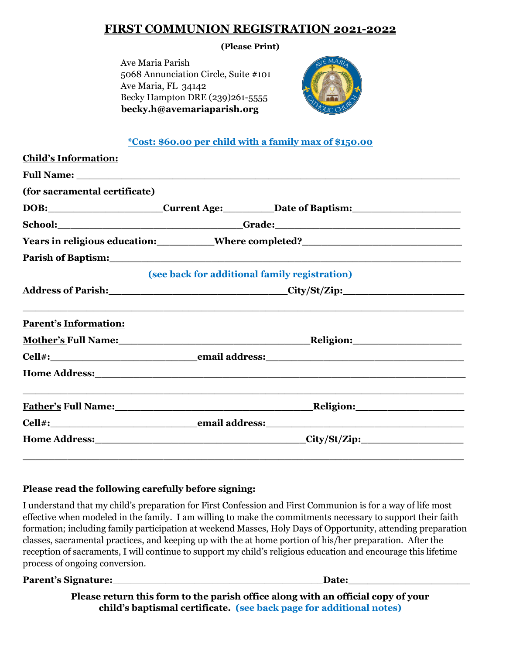# **FIRST COMMUNION REGISTRATION 2021-2022**

#### **(Please Print)**

 Ave Maria Parish 5068 Annunciation Circle, Suite #101 Ave Maria, FL 34142 Becky Hampton DRE (239)261-5555  **becky.h@avemariaparish.org** 



### **\*Cost: \$60.00 per child with a family max of \$150.00**

| <b>Child's Information:</b>   |  |                                                                                                                                                                                                                                |  |
|-------------------------------|--|--------------------------------------------------------------------------------------------------------------------------------------------------------------------------------------------------------------------------------|--|
|                               |  |                                                                                                                                                                                                                                |  |
| (for sacramental certificate) |  |                                                                                                                                                                                                                                |  |
|                               |  | DOB: Current Age: Date of Baptism:                                                                                                                                                                                             |  |
|                               |  | School: __________________________________Grade: _______________________________                                                                                                                                               |  |
|                               |  | Years in religious education: __________Where completed? ________________________                                                                                                                                              |  |
|                               |  | Parish of Baptism: 1988 and 2008 and 2008 and 2008 and 2008 and 2008 and 2008 and 2008 and 2008 and 2008 and 20                                                                                                                |  |
|                               |  | (see back for additional family registration)                                                                                                                                                                                  |  |
|                               |  | Address of Parish: City/St/Zip:                                                                                                                                                                                                |  |
|                               |  |                                                                                                                                                                                                                                |  |
| <b>Parent's Information:</b>  |  |                                                                                                                                                                                                                                |  |
|                               |  | Mother's Full Name: Mother's Full Name:                                                                                                                                                                                        |  |
|                               |  |                                                                                                                                                                                                                                |  |
|                               |  | Home Address: No. 1996. The Contract of the Address of the Address of the Address of the Address of the Address of the Address of the Address of the Address of the Address of the Address of the Address of the Address of th |  |
|                               |  |                                                                                                                                                                                                                                |  |
|                               |  |                                                                                                                                                                                                                                |  |
|                               |  |                                                                                                                                                                                                                                |  |
|                               |  |                                                                                                                                                                                                                                |  |
|                               |  |                                                                                                                                                                                                                                |  |

### **Please read the following carefully before signing:**

I understand that my child's preparation for First Confession and First Communion is for a way of life most effective when modeled in the family. I am willing to make the commitments necessary to support their faith formation; including family participation at weekend Masses, Holy Days of Opportunity, attending preparation classes, sacramental practices, and keeping up with the at home portion of his/her preparation. After the reception of sacraments, I will continue to support my child's religious education and encourage this lifetime process of ongoing conversion.

**Parent's Signature:**\_\_\_\_\_\_\_\_\_\_\_\_\_\_\_\_\_\_\_\_\_\_\_\_\_\_\_\_\_\_\_\_\_\_\_\_**Date:\_\_\_\_\_\_\_\_\_\_\_\_\_\_\_\_\_\_\_** 

**Please return this form to the parish office along with an official copy of your child's baptismal certificate. (see back page for additional notes)**